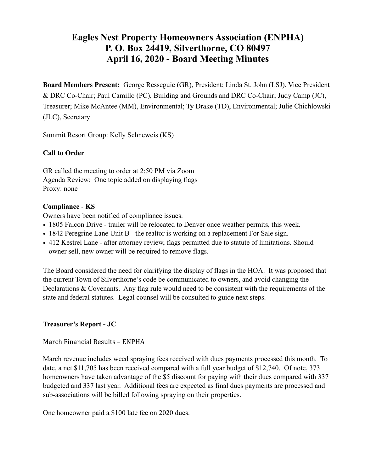# **Eagles Nest Property Homeowners Association (ENPHA) P. O. Box 24419, Silverthorne, CO 80497 April 16, 2020 - Board Meeting Minutes**

**Board Members Present:** George Resseguie (GR), President; Linda St. John (LSJ), Vice President & DRC Co-Chair; Paul Camillo (PC), Building and Grounds and DRC Co-Chair; Judy Camp (JC), Treasurer; Mike McAntee (MM), Environmental; Ty Drake (TD), Environmental; Julie Chichlowski (JLC), Secretary

Summit Resort Group: Kelly Schneweis (KS)

# **Call to Order**

GR called the meeting to order at 2:50 PM via Zoom Agenda Review: One topic added on displaying flags Proxy: none

# **Compliance** - **KS**

Owners have been notified of compliance issues.

- 1805 Falcon Drive trailer will be relocated to Denver once weather permits, this week.
- 1842 Peregrine Lane Unit B the realtor is working on a replacement For Sale sign.
- 412 Kestrel Lane after attorney review, flags permitted due to statute of limitations. Should owner sell, new owner will be required to remove flags.

The Board considered the need for clarifying the display of flags in the HOA. It was proposed that the current Town of Silverthorne's code be communicated to owners, and avoid changing the Declarations & Covenants. Any flag rule would need to be consistent with the requirements of the state and federal statutes. Legal counsel will be consulted to guide next steps.

# **Treasurer's Report - JC**

# March Financial Results - ENPHA

March revenue includes weed spraying fees received with dues payments processed this month. To date, a net \$11,705 has been received compared with a full year budget of \$12,740. Of note, 373 homeowners have taken advantage of the \$5 discount for paying with their dues compared with 337 budgeted and 337 last year. Additional fees are expected as final dues payments are processed and sub-associations will be billed following spraying on their properties.

One homeowner paid a \$100 late fee on 2020 dues.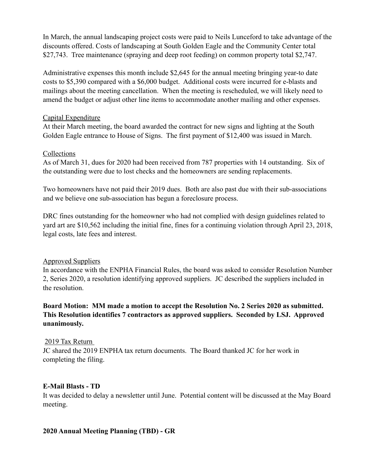In March, the annual landscaping project costs were paid to Neils Lunceford to take advantage of the discounts offered. Costs of landscaping at South Golden Eagle and the Community Center total \$27,743. Tree maintenance (spraying and deep root feeding) on common property total \$2,747.

Administrative expenses this month include \$2,645 for the annual meeting bringing year-to date costs to \$5,390 compared with a \$6,000 budget. Additional costs were incurred for e-blasts and mailings about the meeting cancellation. When the meeting is rescheduled, we will likely need to amend the budget or adjust other line items to accommodate another mailing and other expenses.

### Capital Expenditure

At their March meeting, the board awarded the contract for new signs and lighting at the South Golden Eagle entrance to House of Signs. The first payment of \$12,400 was issued in March.

### Collections

As of March 31, dues for 2020 had been received from 787 properties with 14 outstanding. Six of the outstanding were due to lost checks and the homeowners are sending replacements.

Two homeowners have not paid their 2019 dues. Both are also past due with their sub-associations and we believe one sub-association has begun a foreclosure process.

DRC fines outstanding for the homeowner who had not complied with design guidelines related to yard art are \$10,562 including the initial fine, fines for a continuing violation through April 23, 2018, legal costs, late fees and interest.

# Approved Suppliers

In accordance with the ENPHA Financial Rules, the board was asked to consider Resolution Number 2, Series 2020, a resolution identifying approved suppliers. JC described the suppliers included in the resolution.

# **Board Motion: MM made a motion to accept the Resolution No. 2 Series 2020 as submitted. This Resolution identifies 7 contractors as approved suppliers. Seconded by LSJ. Approved unanimously.**

# 2019 Tax Return

JC shared the 2019 ENPHA tax return documents. The Board thanked JC for her work in completing the filing.

#### **E-Mail Blasts - TD**

It was decided to delay a newsletter until June. Potential content will be discussed at the May Board meeting.

# **2020 Annual Meeting Planning (TBD) - GR**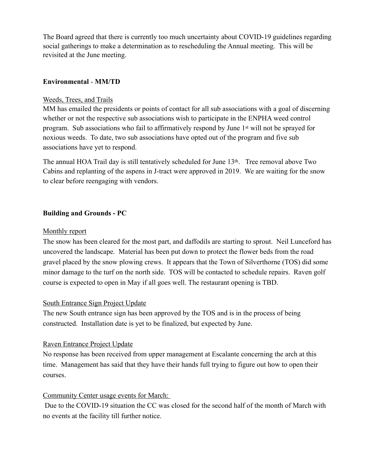The Board agreed that there is currently too much uncertainty about COVID-19 guidelines regarding social gatherings to make a determination as to rescheduling the Annual meeting. This will be revisited at the June meeting.

### **Environmental** - **MM/TD**

#### Weeds, Trees, and Trails

MM has emailed the presidents or points of contact for all sub associations with a goal of discerning whether or not the respective sub associations wish to participate in the ENPHA weed control program. Sub associations who fail to affirmatively respond by June 1st will not be sprayed for noxious weeds. To date, two sub associations have opted out of the program and five sub associations have yet to respond.

The annual HOA Trail day is still tentatively scheduled for June  $13<sup>th</sup>$ . Tree removal above Two Cabins and replanting of the aspens in J-tract were approved in 2019. We are waiting for the snow to clear before reengaging with vendors.

### **Building and Grounds - PC**

#### Monthly report

The snow has been cleared for the most part, and daffodils are starting to sprout. Neil Lunceford has uncovered the landscape. Material has been put down to protect the flower beds from the road gravel placed by the snow plowing crews. It appears that the Town of Silverthorne (TOS) did some minor damage to the turf on the north side. TOS will be contacted to schedule repairs. Raven golf course is expected to open in May if all goes well. The restaurant opening is TBD.

#### South Entrance Sign Project Update

The new South entrance sign has been approved by the TOS and is in the process of being constructed. Installation date is yet to be finalized, but expected by June.

#### Raven Entrance Project Update

No response has been received from upper management at Escalante concerning the arch at this time. Management has said that they have their hands full trying to figure out how to open their courses.

#### Community Center usage events for March:

 Due to the COVID-19 situation the CC was closed for the second half of the month of March with no events at the facility till further notice.